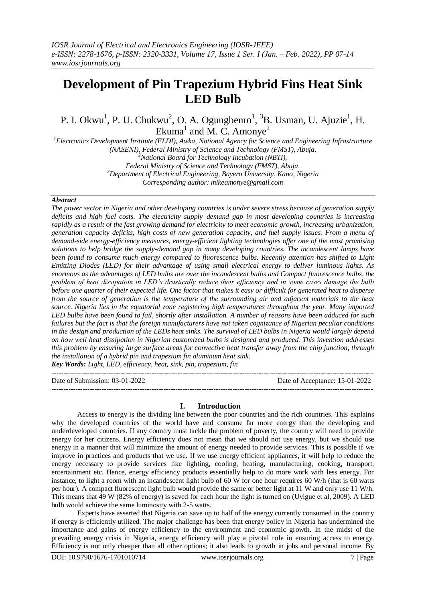# **Development of Pin Trapezium Hybrid Fins Heat Sink LED Bulb**

P. I. Okwu<sup>1</sup>, P. U. Chukwu<sup>2</sup>, O. A. Ogungbenro<sup>1</sup>, <sup>3</sup>B. Usman, U. Ajuzie<sup>1</sup>, H. Ekuma<sup>1</sup> and M. C. Amonye<sup>2</sup>

*<sup>1</sup>Electronics Development Institute (ELDI), Awka, National Agency for Science and Engineering Infrastructure (NASENI), Federal Ministry of Science and Technology (FMST), Abuja. <sup>2</sup>National Board for Technology Incubation (NBTI), Federal Ministry of Science and Technology (FMST), Abuja. <sup>3</sup>Department of Electrical Engineering, Bayero University, Kano, Nigeria*

*Corresponding author: mikeamonye@gmail.com* 

## *Abstract*

*The power sector in Nigeria and other developing countries is under severe stress because of generation supply deficits and high fuel costs. The electricity supply–demand gap in most developing countries is increasing rapidly as a result of the fast growing demand for electricity to meet economic growth, increasing urbanization, generation capacity deficits, high costs of new generation capacity, and fuel supply issues. From a menu of demand-side energy-efficiency measures, energy-efficient lighting technologies offer one of the most promising solutions to help bridge the supply-demand gap in many developing countries. The incandescent lamps have been found to consume much energy compared to fluorescence bulbs. Recently attention has shifted to Light Emitting Diodes (LED) for their advantage of using small electrical energy to deliver luminous lights. As enormous as the advantages of LED bulbs are over the incandescent bulbs and Compact fluorescence bulbs, the problem of heat dissipation in LED's drastically reduce their efficiency and in some cases damage the bulb before one quarter of their expected life. One factor that makes it easy or difficult for generated heat to disperse from the source of generation is the temperature of the surrounding air and adjacent materials to the heat source. Nigeria lies in the equatorial zone registering high temperatures throughout the year. Many imported LED bulbs have been found to fail, shortly after installation. A number of reasons have been adduced for such failures but the fact is that the foreign manufacturers have not taken cognizance of Nigerian peculiar conditions in the design and production of the LEDs heat sinks. The survival of LED bulbs in Nigeria would largely depend on how well heat dissipation in Nigerian customized bulbs is designed and produced. This invention addresses this problem by ensuring large surface areas for convective heat transfer away from the chip junction, through the installation of a hybrid pin and trapezium fin aluminum heat sink. Key Words: Light, LED, efficiency, heat, sink, pin, trapezium, fin*

---------------------------------------------------------------------------------------------------------------------------------------

Date of Submission: 03-01-2022 Date of Acceptance: 15-01-2022

---------------------------------------------------------------------------------------------------------------------------------------

## **I. Introduction**

Access to energy is the dividing line between the poor countries and the rich countries. This explains why the developed countries of the world have and consume far more energy than the developing and underdeveloped countries. If any country must tackle the problem of poverty, the country will need to provide energy for her citizens. Energy efficiency does not mean that we should not use energy, but we should use energy in a manner that will minimize the amount of energy needed to provide services. This is possible if we improve in practices and products that we use. If we use energy efficient appliances, it will help to reduce the energy necessary to provide services like lighting, cooling, heating, manufacturing, cooking, transport, entertainment etc. Hence, energy efficiency products essentially help to do more work with less energy. For instance, to light a room with an incandescent light bulb of 60 W for one hour requires 60 W/h (that is 60 watts per hour). A compact fluorescent light bulb would provide the same or better light at 11 W and only use 11 W/h. This means that 49 W (82% of energy) is saved for each hour the light is turned on (Uyigue et al, 2009). A LED bulb would achieve the same luminosity with 2-5 watts.

Experts have asserted that Nigeria can save up to half of the energy currently consumed in the country if energy is efficiently utilized. The major challenge has been that energy policy in Nigeria has undermined the importance and gains of energy efficiency to the environment and economic growth. In the midst of the prevailing energy crisis in Nigeria, energy efficiency will play a pivotal role in ensuring access to energy. Efficiency is not only cheaper than all other options; it also leads to growth in jobs and personal income. By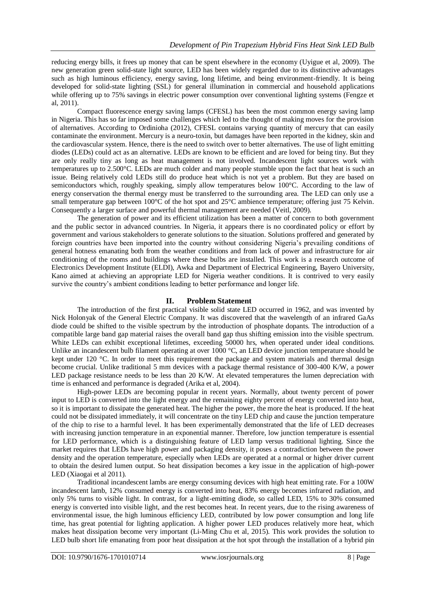reducing energy bills, it frees up money that can be spent elsewhere in the economy (Uyigue et al, 2009). The new generation green solid-state light source, LED has been widely regarded due to its distinctive advantages such as high luminous efficiency, energy saving, long lifetime, and being environment-friendly. It is being developed for solid-state lighting (SSL) for general illumination in commercial and household applications while offering up to 75% savings in electric power consumption over conventional lighting systems (Fengze et al, 2011).

Compact fluorescence energy saving lamps (CFESL) has been the most common energy saving lamp in Nigeria. This has so far imposed some challenges which led to the thought of making moves for the provision of alternatives. According to Ordinioha (2012), CFESL contains varying quantity of mercury that can easily contaminate the environment. Mercury is a neuro-toxin, but damages have been reported in the kidney, skin and the cardiovascular system. Hence, there is the need to switch over to better alternatives. The use of light emitting diodes (LEDs) could act as an alternative. LEDs are known to be efficient and are loved for being tiny. But they are only really tiny as long as heat management is not involved. Incandescent light sources work with temperatures up to 2.500°C. LEDs are much colder and many people stumble upon the fact that heat is such an issue. Being relatively cold LEDs still do produce heat which is not yet a problem. But they are based on semiconductors which, roughly speaking, simply allow temperatures below 100°C. According to the law of energy conservation the thermal energy must be transferred to the surrounding area. The LED can only use a small temperature gap between 100°C of the hot spot and 25°C ambience temperature; offering just 75 Kelvin. Consequently a larger surface and powerful thermal management are needed (Veitl, 2009).

The generation of power and its efficient utilization has been a matter of concern to both government and the public sector in advanced countries. In Nigeria, it appears there is no coordinated policy or effort by government and various stakeholders to generate solutions to the situation. Solutions proffered and generated by foreign countries have been imported into the country without considering Nigeria's prevailing conditions of general hotness emanating both from the weather conditions and from lack of power and infrastructure for air conditioning of the rooms and buildings where these bulbs are installed. This work is a research outcome of Electronics Development Institute (ELDI), Awka and Department of Electrical Engineering, Bayero University, Kano aimed at achieving an appropriate LED for Nigeria weather conditions. It is contrived to very easily survive the country's ambient conditions leading to better performance and longer life.

# **II. Problem Statement**

The introduction of the first practical visible solid state LED occurred in 1962, and was invented by Nick Holonyak of the General Electric Company. It was discovered that the wavelength of an infrared GaAs diode could be shifted to the visible spectrum by the introduction of phosphate dopants. The introduction of a compatible large band gap material raises the overall band gap thus shifting emission into the visible spectrum. White LEDs can exhibit exceptional lifetimes, exceeding 50000 hrs, when operated under ideal conditions. Unlike an incandescent bulb filament operating at over 1000 °C, an LED device junction temperature should be kept under 120 °C. In order to meet this requirement the package and system materials and thermal design become crucial. Unlike traditional 5 mm devices with a package thermal resistance of 300-400 K/W, a power LED package resistance needs to be less than 20 K/W. At elevated temperatures the lumen depreciation with time is enhanced and performance is degraded (Arika et al, 2004).

High-power LEDs are becoming popular in recent years. Normally, about twenty percent of power input to LED is converted into the light energy and the remaining eighty percent of energy converted into heat, so it is important to dissipate the generated heat. The higher the power, the more the heat is produced. If the heat could not be dissipated immediately, it will concentrate on the tiny LED chip and cause the junction temperature of the chip to rise to a harmful level. It has been experimentally demonstrated that the life of LED decreases with increasing junction temperature in an exponential manner. Therefore, low junction temperature is essential for LED performance, which is a distinguishing feature of LED lamp versus traditional lighting. Since the market requires that LEDs have high power and packaging density, it poses a contradiction between the power density and the operation temperature, especially when LEDs are operated at a normal or higher driver current to obtain the desired lumen output. So heat dissipation becomes a key issue in the application of high-power LED (Xiaogai et al 2011).

Traditional incandescent lambs are energy consuming devices with high heat emitting rate. For a 100W incandescent lamb, 12% consumed energy is converted into heat, 83% energy becomes infrared radiation, and only 5% turns to visible light. In contrast, for a light-emitting diode, so called LED, 15% to 30% consumed energy is converted into visible light, and the rest becomes heat. In recent years, due to the rising awareness of environmental issue, the high luminous efficiency LED, contributed by low power consumption and long life time, has great potential for lighting application. A higher power LED produces relatively more heat, which makes heat dissipation become very important (Li-Ming Chu et al, 2015). This work provides the solution to LED bulb short life emanating from poor heat dissipation at the hot spot through the installation of a hybrid pin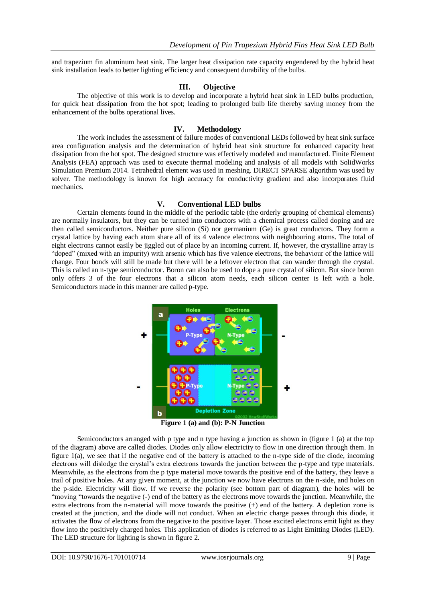and trapezium fin aluminum heat sink. The larger heat dissipation rate capacity engendered by the hybrid heat sink installation leads to better lighting efficiency and consequent durability of the bulbs.

## **III. Objective**

The objective of this work is to develop and incorporate a hybrid heat sink in LED bulbs production, for quick heat dissipation from the hot spot; leading to prolonged bulb life thereby saving money from the enhancement of the bulbs operational lives.

# **IV. Methodology**

The work includes the assessment of failure modes of conventional LEDs followed by heat sink surface area configuration analysis and the determination of hybrid heat sink structure for enhanced capacity heat dissipation from the hot spot. The designed structure was effectively modeled and manufactured. Finite Element Analysis (FEA) approach was used to execute thermal modeling and analysis of all models with SolidWorks Simulation Premium 2014. Tetrahedral element was used in meshing. DIRECT SPARSE algorithm was used by solver. The methodology is known for high accuracy for conductivity gradient and also incorporates fluid mechanics.

#### **V. Conventional LED bulbs**

Certain elements found in the middle of the periodic table (the orderly grouping of chemical elements) are normally insulators, but they can be turned into conductors with a chemical process called doping and are then called semiconductors. Neither pure silicon (Si) nor germanium (Ge) is great conductors. They form a crystal lattice by having each atom share all of its 4 valence electrons with neighbouring atoms. The total of eight electrons cannot easily be jiggled out of place by an incoming current. If, however, the crystalline array is "doped" (mixed with an impurity) with arsenic which has five valence electrons, the behaviour of the lattice will change. Four bonds will still be made but there will be a leftover electron that can wander through the crystal. This is called an n-type semiconductor. Boron can also be used to dope a pure crystal of silicon. But since boron only offers 3 of the four electrons that a silicon atom needs, each silicon center is left with a hole. Semiconductors made in this manner are called p-type.



**Figure 1 (a) and (b): P-N Junction**

Semiconductors arranged with p type and n type having a junction as shown in (figure 1 (a) at the top of the diagram) above are called diodes. Diodes only allow electricity to flow in one direction through them. In figure 1(a), we see that if the negative end of the battery is attached to the n-type side of the diode, incoming electrons will dislodge the crystal's extra electrons towards the junction between the p-type and type materials. Meanwhile, as the electrons from the p type material move towards the positive end of the battery, they leave a trail of positive holes. At any given moment, at the junction we now have electrons on the n-side, and holes on the p-side. Electricity will flow. If we reverse the polarity (see bottom part of diagram), the holes will be "moving "towards the negative (-) end of the battery as the electrons move towards the junction. Meanwhile, the extra electrons from the n-material will move towards the positive (+) end of the battery. A depletion zone is created at the junction, and the diode will not conduct. When an electric charge passes through this diode, it activates the flow of electrons from the negative to the positive layer. Those excited electrons emit light as they flow into the positively charged holes. This application of diodes is referred to as Light Emitting Diodes (LED). The LED structure for lighting is shown in figure 2.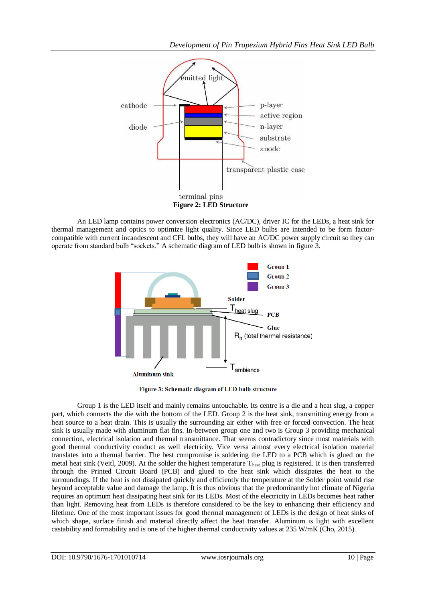

An LED lamp contains power conversion electronics (AC/DC), driver IC for the LEDs, a heat sink for thermal management and optics to optimize light quality. Since LED bulbs are intended to be form factorcompatible with current incandescent and CFL bulbs, they will have an AC/DC power supply circuit so they can operate from standard bulb "sockets." A schematic diagram of LED bulb is shown in figure 3.



Figure 3: Schematic diagram of LED bulb structure

Group 1 is the LED itself and mainly remains untouchable. Its centre is a die and a heat slug, a copper part, which connects the die with the bottom of the LED. Group 2 is the heat sink, transmitting energy from a heat source to a heat drain. This is usually the surrounding air either with free or forced convection. The heat sink is usually made with aluminum flat fins. In-between group one and two is Group 3 providing mechanical connection, electrical isolation and thermal transmittance. That seems contradictory since most materials with good thermal conductivity conduct as well electricity. Vice versa almost every electrical isolation material translates into a thermal barrier. The best compromise is soldering the LED to a PCB which is glued on the metal heat sink (Veitl, 2009). At the solder the highest temperature T<sub>heat</sub> plug is registered. It is then transferred through the Printed Circuit Board (PCB) and glued to the heat sink which dissipates the heat to the surroundings. If the heat is not dissipated quickly and efficiently the temperature at the Solder point would rise beyond acceptable value and damage the lamp. It is thus obvious that the predominantly hot climate of Nigeria requires an optimum heat dissipating heat sink for its LEDs. Most of the electricity in LEDs becomes heat rather than light. Removing heat from LEDs is therefore considered to be the key to enhancing their efficiency and lifetime. One of the most important issues for good thermal management of LEDs is the design of heat sinks of which shape, surface finish and material directly affect the heat transfer. Aluminum is light with excellent castability and formability and is one of the higher thermal conductivity values at 235 W/mK (Cho, 2015).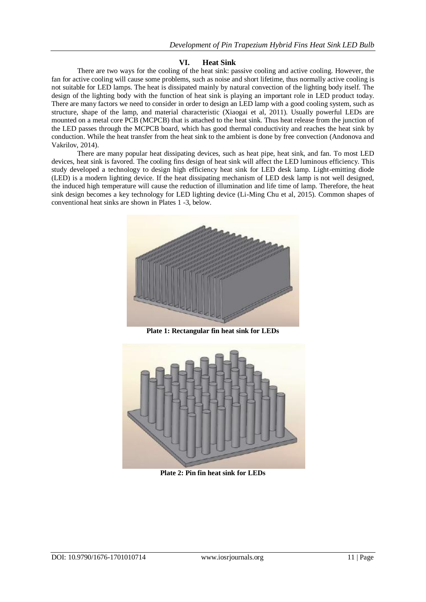# **VI. Heat Sink**

There are two ways for the cooling of the heat sink: passive cooling and active cooling. However, the fan for active cooling will cause some problems, such as noise and short lifetime, thus normally active cooling is not suitable for LED lamps. The heat is dissipated mainly by natural convection of the lighting body itself. The design of the lighting body with the function of heat sink is playing an important role in LED product today. There are many factors we need to consider in order to design an LED lamp with a good cooling system, such as structure, shape of the lamp, and material characteristic (Xiaogai et al, 2011). Usually powerful LEDs are mounted on a metal core PCB (MCPCB) that is attached to the heat sink. Thus heat release from the junction of the LED passes through the MCPCB board, which has good thermal conductivity and reaches the heat sink by conduction. While the heat transfer from the heat sink to the ambient is done by free convection (Andonova and Vakrilov, 2014).

There are many popular heat dissipating devices, such as heat pipe, heat sink, and fan. To most LED devices, heat sink is favored. The cooling fins design of heat sink will affect the LED luminous efficiency. This study developed a technology to design high efficiency heat sink for LED desk lamp. Light-emitting diode (LED) is a modern lighting device. If the heat dissipating mechanism of LED desk lamp is not well designed, the induced high temperature will cause the reduction of illumination and life time of lamp. Therefore, the heat sink design becomes a key technology for LED lighting device (Li-Ming Chu et al, 2015). Common shapes of conventional heat sinks are shown in Plates 1 -3, below.



**Plate 1: Rectangular fin heat sink for LEDs**



**Plate 2: Pin fin heat sink for LEDs**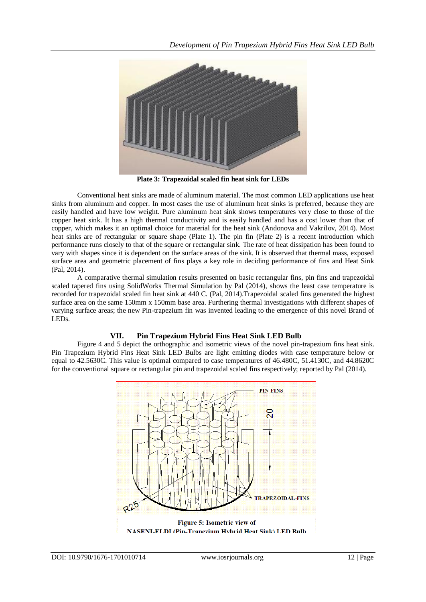

**Plate 3: Trapezoidal scaled fin heat sink for LEDs**

Conventional heat sinks are made of aluminum material. The most common LED applications use heat sinks from aluminum and copper. In most cases the use of aluminum heat sinks is preferred, because they are easily handled and have low weight. Pure aluminum heat sink shows temperatures very close to those of the copper heat sink. It has a high thermal conductivity and is easily handled and has a cost lower than that of copper, which makes it an optimal choice for material for the heat sink (Andonova and Vakrilov, 2014). Most heat sinks are of rectangular or square shape (Plate 1). The pin fin (Plate 2) is a recent introduction which performance runs closely to that of the square or rectangular sink. The rate of heat dissipation has been found to vary with shapes since it is dependent on the surface areas of the sink. It is observed that thermal mass, exposed surface area and geometric placement of fins plays a key role in deciding performance of fins and Heat Sink (Pal, 2014).

A comparative thermal simulation results presented on basic rectangular fins, pin fins and trapezoidal scaled tapered fins using SolidWorks Thermal Simulation by Pal (2014), shows the least case temperature is recorded for trapezoidal scaled fin heat sink at 440 C. (Pal, 2014).Trapezoidal scaled fins generated the highest surface area on the same 150mm x 150mm base area. Furthering thermal investigations with different shapes of varying surface areas; the new Pin-trapezium fin was invented leading to the emergence of this novel Brand of LEDs.

# **VII. Pin Trapezium Hybrid Fins Heat Sink LED Bulb**

Figure 4 and 5 depict the orthographic and isometric views of the novel pin-trapezium fins heat sink. Pin Trapezium Hybrid Fins Heat Sink LED Bulbs are light emitting diodes with case temperature below or equal to 42.5630C. This value is optimal compared to case temperatures of 46.480C, 51.4130C, and 44.8620C for the conventional square or rectangular pin and trapezoidal scaled fins respectively; reported by Pal (2014).



DOI: 10.9790/1676-1701010714 www.iosrjournals.org 12 | Page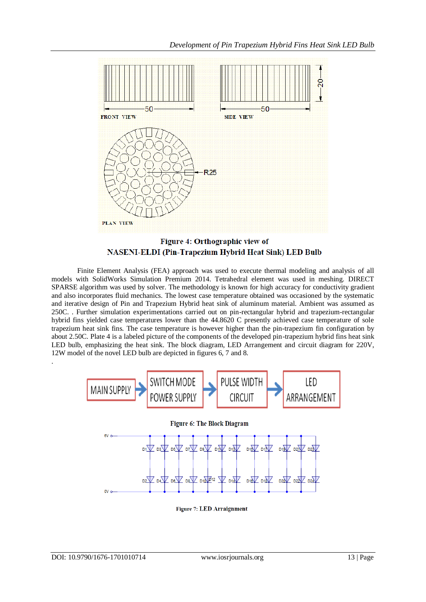

Figure 4: Orthographic view of **NASENI-ELDI (Pin-Trapezium Hybrid Heat Sink) LED Bulb** 

Finite Element Analysis (FEA) approach was used to execute thermal modeling and analysis of all models with SolidWorks Simulation Premium 2014. Tetrahedral element was used in meshing. DIRECT SPARSE algorithm was used by solver. The methodology is known for high accuracy for conductivity gradient and also incorporates fluid mechanics. The lowest case temperature obtained was occasioned by the systematic and iterative design of Pin and Trapezium Hybrid heat sink of aluminum material. Ambient was assumed as 250C. . Further simulation experimentations carried out on pin-rectangular hybrid and trapezium-rectangular hybrid fins yielded case temperatures lower than the 44.8620 C presently achieved case temperature of sole trapezium heat sink fins. The case temperature is however higher than the pin-trapezium fin configuration by about 2.50C. Plate 4 is a labeled picture of the components of the developed pin-trapezium hybrid fins heat sink LED bulb, emphasizing the heat sink. The block diagram, LED Arrangement and circuit diagram for 220V, 12W model of the novel LED bulb are depicted in figures 6, 7 and 8. .



**Figure 7: LED Arraignment**